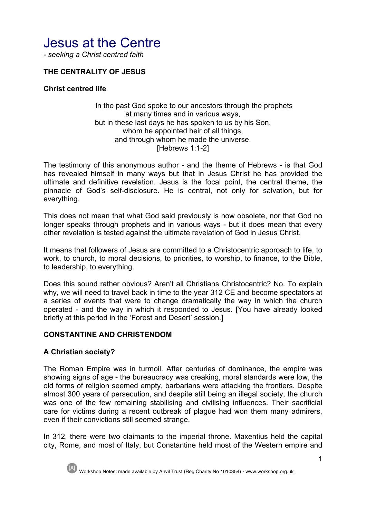# Jesus at the Centre

*- seeking a Christ centred faith*

## **THE CENTRALITY OF JESUS**

#### **Christ centred life**

#### In the past God spoke to our ancestors through the prophets at many times and in various ways, but in these last days he has spoken to us by his Son, whom he appointed heir of all things, and through whom he made the universe. [Hebrews 1:1-2]

The testimony of this anonymous author - and the theme of Hebrews - is that God has revealed himself in many ways but that in Jesus Christ he has provided the ultimate and definitive revelation. Jesus is the focal point, the central theme, the pinnacle of God's self-disclosure. He is central, not only for salvation, but for everything.

This does not mean that what God said previously is now obsolete, nor that God no longer speaks through prophets and in various ways - but it does mean that every other revelation is tested against the ultimate revelation of God in Jesus Christ.

It means that followers of Jesus are committed to a Christocentric approach to life, to work, to church, to moral decisions, to priorities, to worship, to finance, to the Bible, to leadership, to everything.

Does this sound rather obvious? Aren't all Christians Christocentric? No. To explain why, we will need to travel back in time to the year 312 CE and become spectators at a series of events that were to change dramatically the way in which the church operated - and the way in which it responded to Jesus. [You have already looked briefly at this period in the 'Forest and Desert' session.]

## **CONSTANTINE AND CHRISTENDOM**

#### **A Christian society?**

The Roman Empire was in turmoil. After centuries of dominance, the empire was showing signs of age - the bureaucracy was creaking, moral standards were low, the old forms of religion seemed empty, barbarians were attacking the frontiers. Despite almost 300 years of persecution, and despite still being an illegal society, the church was one of the few remaining stabilising and civilising influences. Their sacrificial care for victims during a recent outbreak of plague had won them many admirers, even if their convictions still seemed strange.

In 312, there were two claimants to the imperial throne. Maxentius held the capital city, Rome, and most of Italy, but Constantine held most of the Western empire and

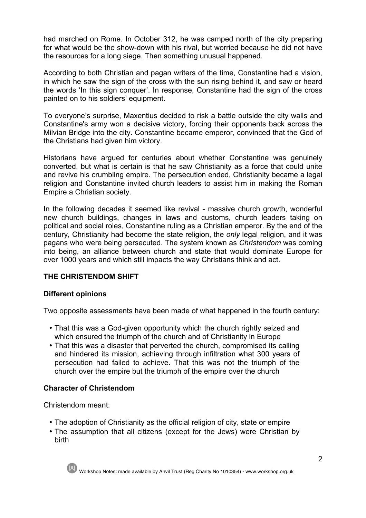had marched on Rome. In October 312, he was camped north of the city preparing for what would be the show-down with his rival, but worried because he did not have the resources for a long siege. Then something unusual happened.

According to both Christian and pagan writers of the time, Constantine had a vision, in which he saw the sign of the cross with the sun rising behind it, and saw or heard the words 'In this sign conquer'. In response, Constantine had the sign of the cross painted on to his soldiers' equipment.

To everyone's surprise, Maxentius decided to risk a battle outside the city walls and Constantine's army won a decisive victory, forcing their opponents back across the Milvian Bridge into the city. Constantine became emperor, convinced that the God of the Christians had given him victory.

Historians have argued for centuries about whether Constantine was genuinely converted, but what is certain is that he saw Christianity as a force that could unite and revive his crumbling empire. The persecution ended, Christianity became a legal religion and Constantine invited church leaders to assist him in making the Roman Empire a Christian society.

In the following decades it seemed like revival - massive church growth, wonderful new church buildings, changes in laws and customs, church leaders taking on political and social roles, Constantine ruling as a Christian emperor. By the end of the century, Christianity had become the state religion, the *only* legal religion, and it was pagans who were being persecuted. The system known as *Christendom* was coming into being, an alliance between church and state that would dominate Europe for over 1000 years and which still impacts the way Christians think and act.

# **THE CHRISTENDOM SHIFT**

# **Different opinions**

Two opposite assessments have been made of what happened in the fourth century:

- That this was a God-given opportunity which the church rightly seized and which ensured the triumph of the church and of Christianity in Europe
- That this was a disaster that perverted the church, compromised its calling and hindered its mission, achieving through infiltration what 300 years of persecution had failed to achieve. That this was not the triumph of the church over the empire but the triumph of the empire over the church

## **Character of Christendom**

Christendom meant:

- The adoption of Christianity as the official religion of city, state or empire
- The assumption that all citizens (except for the Jews) were Christian by birth

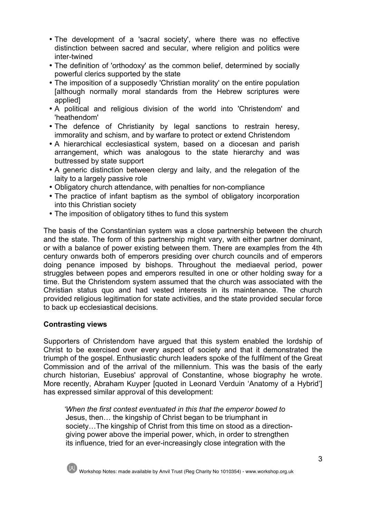- The development of a 'sacral society', where there was no effective distinction between sacred and secular, where religion and politics were inter-twined
- The definition of 'orthodoxy' as the common belief, determined by socially powerful clerics supported by the state
- The imposition of a supposedly 'Christian morality' on the entire population [although normally moral standards from the Hebrew scriptures were applied]
- A political and religious division of the world into 'Christendom' and 'heathendom'
- The defence of Christianity by legal sanctions to restrain heresy, immorality and schism, and by warfare to protect or extend Christendom
- A hierarchical ecclesiastical system, based on a diocesan and parish arrangement, which was analogous to the state hierarchy and was buttressed by state support
- A generic distinction between clergy and laity, and the relegation of the laity to a largely passive role
- Obligatory church attendance, with penalties for non-compliance
- The practice of infant baptism as the symbol of obligatory incorporation into this Christian society
- The imposition of obligatory tithes to fund this system

The basis of the Constantinian system was a close partnership between the church and the state. The form of this partnership might vary, with either partner dominant, or with a balance of power existing between them. There are examples from the 4th century onwards both of emperors presiding over church councils and of emperors doing penance imposed by bishops. Throughout the mediaeval period, power struggles between popes and emperors resulted in one or other holding sway for a time. But the Christendom system assumed that the church was associated with the Christian status quo and had vested interests in its maintenance. The church provided religious legitimation for state activities, and the state provided secular force to back up ecclesiastical decisions.

## **Contrasting views**

Supporters of Christendom have argued that this system enabled the lordship of Christ to be exercised over every aspect of society and that it demonstrated the triumph of the gospel. Enthusiastic church leaders spoke of the fulfilment of the Great Commission and of the arrival of the millennium. This was the basis of the early church historian, Eusebius' approval of Constantine, whose biography he wrote. More recently, Abraham Kuyper [quoted in Leonard Verduin 'Anatomy of a Hybrid'] has expressed similar approval of this development:

 *'When the first contest eventuated in this that the emperor bowed to*  Jesus, then… the kingship of Christ began to be triumphant in society…The kingship of Christ from this time on stood as a directiongiving power above the imperial power, which, in order to strengthen its influence, tried for an ever-increasingly close integration with the

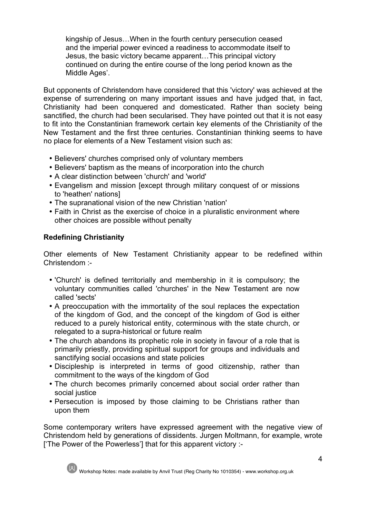kingship of Jesus…When in the fourth century persecution ceased and the imperial power evinced a readiness to accommodate itself to Jesus, the basic victory became apparent…This principal victory continued on during the entire course of the long period known as the Middle Ages'.

But opponents of Christendom have considered that this 'victory' was achieved at the expense of surrendering on many important issues and have judged that, in fact, Christianity had been conquered and domesticated. Rather than society being sanctified, the church had been secularised. They have pointed out that it is not easy to fit into the Constantinian framework certain key elements of the Christianity of the New Testament and the first three centuries. Constantinian thinking seems to have no place for elements of a New Testament vision such as:

- Believers' churches comprised only of voluntary members
- Believers' baptism as the means of incorporation into the church
- A clear distinction between 'church' and 'world'
- Evangelism and mission Jexcept through military conquest of or missions to 'heathen' nations]
- The supranational vision of the new Christian 'nation'
- Faith in Christ as the exercise of choice in a pluralistic environment where other choices are possible without penalty

## **Redefining Christianity**

Other elements of New Testament Christianity appear to be redefined within Christendom :-

- 'Church' is defined territorially and membership in it is compulsory; the voluntary communities called 'churches' in the New Testament are now called 'sects'
- A preoccupation with the immortality of the soul replaces the expectation of the kingdom of God, and the concept of the kingdom of God is either reduced to a purely historical entity, coterminous with the state church, or relegated to a supra-historical or future realm
- The church abandons its prophetic role in society in favour of a role that is primarily priestly, providing spiritual support for groups and individuals and sanctifying social occasions and state policies
- Discipleship is interpreted in terms of good citizenship, rather than commitment to the ways of the kingdom of God
- The church becomes primarily concerned about social order rather than social justice
- Persecution is imposed by those claiming to be Christians rather than upon them

Some contemporary writers have expressed agreement with the negative view of Christendom held by generations of dissidents. Jurgen Moltmann, for example, wrote ['The Power of the Powerless'] that for this apparent victory :-

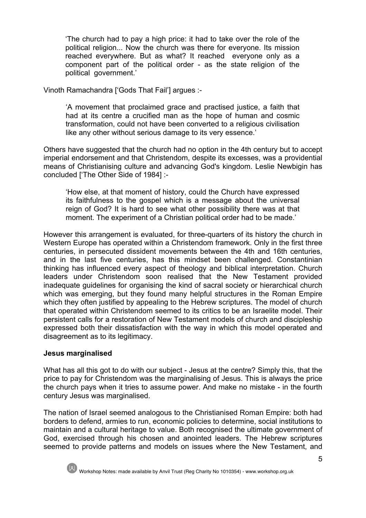'The church had to pay a high price: it had to take over the role of the political religion... Now the church was there for everyone. Its mission reached everywhere. But as what? It reached everyone only as a component part of the political order - as the state religion of the political government.'

Vinoth Ramachandra ['Gods That Fail'] argues :-

'A movement that proclaimed grace and practised justice, a faith that had at its centre a crucified man as the hope of human and cosmic transformation, could not have been converted to a religious civilisation like any other without serious damage to its very essence.'

Others have suggested that the church had no option in the 4th century but to accept imperial endorsement and that Christendom, despite its excesses, was a providential means of Christianising culture and advancing God's kingdom. Leslie Newbigin has concluded ['The Other Side of 1984] :-

'How else, at that moment of history, could the Church have expressed its faithfulness to the gospel which is a message about the universal reign of God? It is hard to see what other possibility there was at that moment. The experiment of a Christian political order had to be made.'

However this arrangement is evaluated, for three-quarters of its history the church in Western Europe has operated within a Christendom framework. Only in the first three centuries, in persecuted dissident movements between the 4th and 16th centuries, and in the last five centuries, has this mindset been challenged. Constantinian thinking has influenced every aspect of theology and biblical interpretation. Church leaders under Christendom soon realised that the New Testament provided inadequate guidelines for organising the kind of sacral society or hierarchical church which was emerging, but they found many helpful structures in the Roman Empire which they often justified by appealing to the Hebrew scriptures. The model of church that operated within Christendom seemed to its critics to be an Israelite model. Their persistent calls for a restoration of New Testament models of church and discipleship expressed both their dissatisfaction with the way in which this model operated and disagreement as to its legitimacy.

## **Jesus marginalised**

What has all this got to do with our subject - Jesus at the centre? Simply this, that the price to pay for Christendom was the marginalising of Jesus. This is always the price the church pays when it tries to assume power. And make no mistake - in the fourth century Jesus was marginalised.

The nation of Israel seemed analogous to the Christianised Roman Empire: both had borders to defend, armies to run, economic policies to determine, social institutions to maintain and a cultural heritage to value. Both recognised the ultimate government of God, exercised through his chosen and anointed leaders. The Hebrew scriptures seemed to provide patterns and models on issues where the New Testament, and

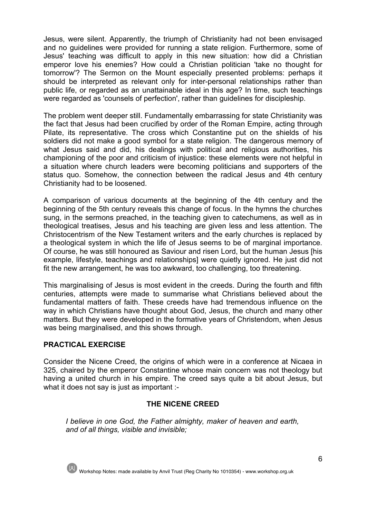Jesus, were silent. Apparently, the triumph of Christianity had not been envisaged and no guidelines were provided for running a state religion. Furthermore, some of Jesus' teaching was difficult to apply in this new situation: how did a Christian emperor love his enemies? How could a Christian politician 'take no thought for tomorrow'? The Sermon on the Mount especially presented problems: perhaps it should be interpreted as relevant only for inter-personal relationships rather than public life, or regarded as an unattainable ideal in this age? In time, such teachings were regarded as 'counsels of perfection', rather than guidelines for discipleship.

The problem went deeper still. Fundamentally embarrassing for state Christianity was the fact that Jesus had been crucified by order of the Roman Empire, acting through Pilate, its representative. The cross which Constantine put on the shields of his soldiers did not make a good symbol for a state religion. The dangerous memory of what Jesus said and did, his dealings with political and religious authorities, his championing of the poor and criticism of injustice: these elements were not helpful in a situation where church leaders were becoming politicians and supporters of the status quo. Somehow, the connection between the radical Jesus and 4th century Christianity had to be loosened.

A comparison of various documents at the beginning of the 4th century and the beginning of the 5th century reveals this change of focus. In the hymns the churches sung, in the sermons preached, in the teaching given to catechumens, as well as in theological treatises, Jesus and his teaching are given less and less attention. The Christocentrism of the New Testament writers and the early churches is replaced by a theological system in which the life of Jesus seems to be of marginal importance. Of course, he was still honoured as Saviour and risen Lord, but the human Jesus [his example, lifestyle, teachings and relationships] were quietly ignored. He just did not fit the new arrangement, he was too awkward, too challenging, too threatening.

This marginalising of Jesus is most evident in the creeds. During the fourth and fifth centuries, attempts were made to summarise what Christians believed about the fundamental matters of faith. These creeds have had tremendous influence on the way in which Christians have thought about God, Jesus, the church and many other matters. But they were developed in the formative years of Christendom, when Jesus was being marginalised, and this shows through.

# **PRACTICAL EXERCISE**

Consider the Nicene Creed, the origins of which were in a conference at Nicaea in 325, chaired by the emperor Constantine whose main concern was not theology but having a united church in his empire. The creed says quite a bit about Jesus, but what it does not say is just as important :-

## **THE NICENE CREED**

*I believe in one God, the Father almighty, maker of heaven and earth, and of all things, visible and invisible;* 

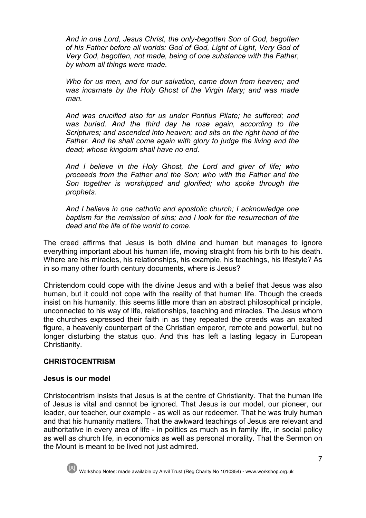*And in one Lord, Jesus Christ, the only-begotten Son of God, begotten of his Father before all worlds: God of God, Light of Light, Very God of Very God, begotten, not made, being of one substance with the Father, by whom all things were made.* 

*Who for us men, and for our salvation, came down from heaven; and was incarnate by the Holy Ghost of the Virgin Mary; and was made man.* 

*And was crucified also for us under Pontius Pilate; he suffered; and was buried. And the third day he rose again, according to the Scriptures; and ascended into heaven; and sits on the right hand of the*  Father. And he shall come again with glory to judge the living and the *dead; whose kingdom shall have no end.*

*And I believe in the Holy Ghost, the Lord and giver of life; who proceeds from the Father and the Son; who with the Father and the Son together is worshipped and glorified; who spoke through the prophets.*

*And I believe in one catholic and apostolic church; I acknowledge one baptism for the remission of sins; and I look for the resurrection of the dead and the life of the world to come.*

The creed affirms that Jesus is both divine and human but manages to ignore everything important about his human life, moving straight from his birth to his death. Where are his miracles, his relationships, his example, his teachings, his lifestyle? As in so many other fourth century documents, where is Jesus?

Christendom could cope with the divine Jesus and with a belief that Jesus was also human, but it could not cope with the reality of that human life. Though the creeds insist on his humanity, this seems little more than an abstract philosophical principle, unconnected to his way of life, relationships, teaching and miracles. The Jesus whom the churches expressed their faith in as they repeated the creeds was an exalted figure, a heavenly counterpart of the Christian emperor, remote and powerful, but no longer disturbing the status quo. And this has left a lasting legacy in European Christianity.

## **CHRISTOCENTRISM**

#### **Jesus is our model**

Christocentrism insists that Jesus is at the centre of Christianity. That the human life of Jesus is vital and cannot be ignored. That Jesus is our model, our pioneer, our leader, our teacher, our example - as well as our redeemer. That he was truly human and that his humanity matters. That the awkward teachings of Jesus are relevant and authoritative in every area of life - in politics as much as in family life, in social policy as well as church life, in economics as well as personal morality. That the Sermon on the Mount is meant to be lived not just admired.

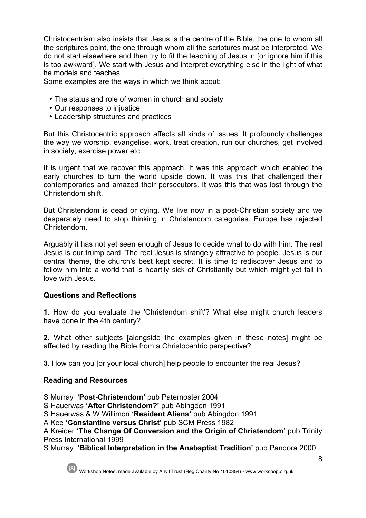Christocentrism also insists that Jesus is the centre of the Bible, the one to whom all the scriptures point, the one through whom all the scriptures must be interpreted. We do not start elsewhere and then try to fit the teaching of Jesus in [or ignore him if this is too awkward]. We start with Jesus and interpret everything else in the light of what he models and teaches.

Some examples are the ways in which we think about:

- The status and role of women in church and society
- Our responses to injustice
- Leadership structures and practices

But this Christocentric approach affects all kinds of issues. It profoundly challenges the way we worship, evangelise, work, treat creation, run our churches, get involved in society, exercise power etc.

It is urgent that we recover this approach. It was this approach which enabled the early churches to turn the world upside down. It was this that challenged their contemporaries and amazed their persecutors. It was this that was lost through the Christendom shift.

But Christendom is dead or dying. We live now in a post-Christian society and we desperately need to stop thinking in Christendom categories. Europe has rejected Christendom.

Arguably it has not yet seen enough of Jesus to decide what to do with him. The real Jesus is our trump card. The real Jesus is strangely attractive to people. Jesus is our central theme, the church's best kept secret. It is time to rediscover Jesus and to follow him into a world that is heartily sick of Christianity but which might yet fall in love with Jesus.

# **Questions and Reflections**

**1.** How do you evaluate the 'Christendom shift'? What else might church leaders have done in the 4th century?

**2.** What other subjects [alongside the examples given in these notes] might be affected by reading the Bible from a Christocentric perspective?

**3.** How can you for your local church] help people to encounter the real Jesus?

# **Reading and Resources**

S Murray '**Post-Christendom'** pub Paternoster 2004

S Hauerwas **'After Christendom?'** pub Abingdon 1991

S Hauerwas & W Willimon **'Resident Aliens'** pub Abingdon 1991

A Kee **'Constantine versus Christ'** pub SCM Press 1982

A Kreider **'The Change Of Conversion and the Origin of Christendom'** pub Trinity Press International 1999

S Murray **'Biblical Interpretation in the Anabaptist Tradition'** pub Pandora 2000